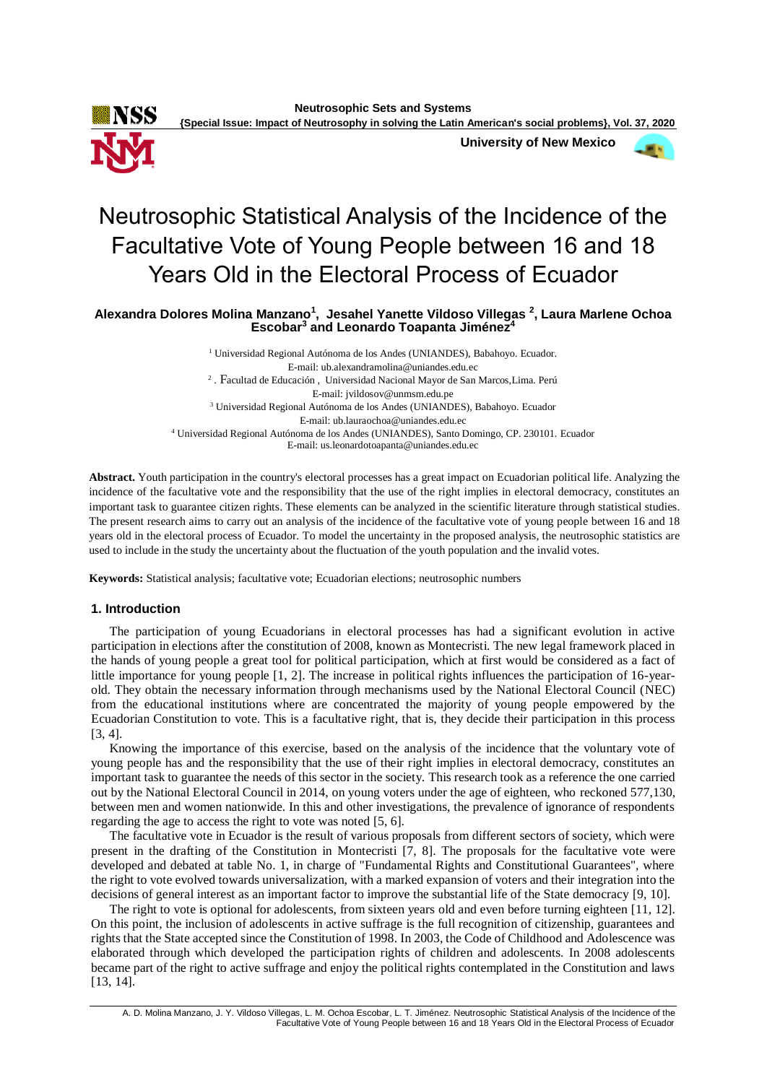

**University of New Mexico**



# Neutrosophic Statistical Analysis of the Incidence of the Facultative Vote of Young People between 16 and 18 Years Old in the Electoral Process of Ecuador

**Alexandra Dolores Molina Manzano<sup>1</sup> , Jesahel Yanette Vildoso Villegas <sup>2</sup> , Laura Marlene Ochoa Escobar<sup>3</sup> and Leonardo Toapanta Jiménez<sup>4</sup>**

> <sup>1</sup> Universidad Regional Autónoma de los Andes (UNIANDES), Babahoyo. Ecuador. E-mail: ub.alexandramolina@uniandes.edu.ec 2 . Facultad de Educación , Universidad Nacional Mayor de San Marcos,Lima. Perú E-mail: jvildosov@unmsm.edu.pe <sup>3</sup> Universidad Regional Autónoma de los Andes (UNIANDES), Babahoyo. Ecuador E-mail: ub.lauraochoa@uniandes.edu.ec <sup>4</sup> Universidad Regional Autónoma de los Andes (UNIANDES), Santo Domingo, CP. 230101. Ecuador E-mail: us.leonardotoapanta@uniandes.edu.ec

**Abstract.** Youth participation in the country's electoral processes has a great impact on Ecuadorian political life. Analyzing the incidence of the facultative vote and the responsibility that the use of the right implies in electoral democracy, constitutes an important task to guarantee citizen rights. These elements can be analyzed in the scientific literature through statistical studies. The present research aims to carry out an analysis of the incidence of the facultative vote of young people between 16 and 18 years old in the electoral process of Ecuador. To model the uncertainty in the proposed analysis, the neutrosophic statistics are used to include in the study the uncertainty about the fluctuation of the youth population and the invalid votes.

**Keywords:** Statistical analysis; facultative vote; Ecuadorian elections; neutrosophic numbers

## **1. Introduction**

The participation of young Ecuadorians in electoral processes has had a significant evolution in active participation in elections after the constitution of 2008, known as Montecristi. The new legal framework placed in the hands of young people a great tool for political participation, which at first would be considered as a fact of little importance for young people [\[1,](#page-3-0) [2\]](#page-3-1). The increase in political rights influences the participation of 16-yearold. They obtain the necessary information through mechanisms used by the National Electoral Council (NEC) from the educational institutions where are concentrated the majority of young people empowered by the Ecuadorian Constitution to vote. This is a facultative right, that is, they decide their participation in this process [\[3,](#page-3-2) [4\]](#page-3-3).

Knowing the importance of this exercise, based on the analysis of the incidence that the voluntary vote of young people has and the responsibility that the use of their right implies in electoral democracy, constitutes an important task to guarantee the needs of this sector in the society. This research took as a reference the one carried out by the National Electoral Council in 2014, on young voters under the age of eighteen, who reckoned 577,130, between men and women nationwide. In this and other investigations, the prevalence of ignorance of respondents regarding the age to access the right to vote was noted [\[5,](#page-3-4) [6\]](#page-3-5).

The facultative vote in Ecuador is the result of various proposals from different sectors of society, which were present in the drafting of the Constitution in Montecristi [\[7,](#page-3-6) [8\]](#page-3-7). The proposals for the facultative vote were developed and debated at table No. 1, in charge of "Fundamental Rights and Constitutional Guarantees", where the right to vote evolved towards universalization, with a marked expansion of voters and their integration into the decisions of general interest as an important factor to improve the substantial life of the State democracy [\[9,](#page-3-8) [10\]](#page-3-9).

The right to vote is optional for adolescents, from sixteen years old and even before turning eighteen [\[11,](#page-4-0) [12\]](#page-4-1). On this point, the inclusion of adolescents in active suffrage is the full recognition of citizenship, guarantees and rights that the State accepted since the Constitution of 1998. In 2003, the Code of Childhood and Adolescence was elaborated through which developed the participation rights of children and adolescents. In 2008 adolescents became part of the right to active suffrage and enjoy the political rights contemplated in the Constitution and laws [\[13,](#page-4-2) [14\]](#page-4-3).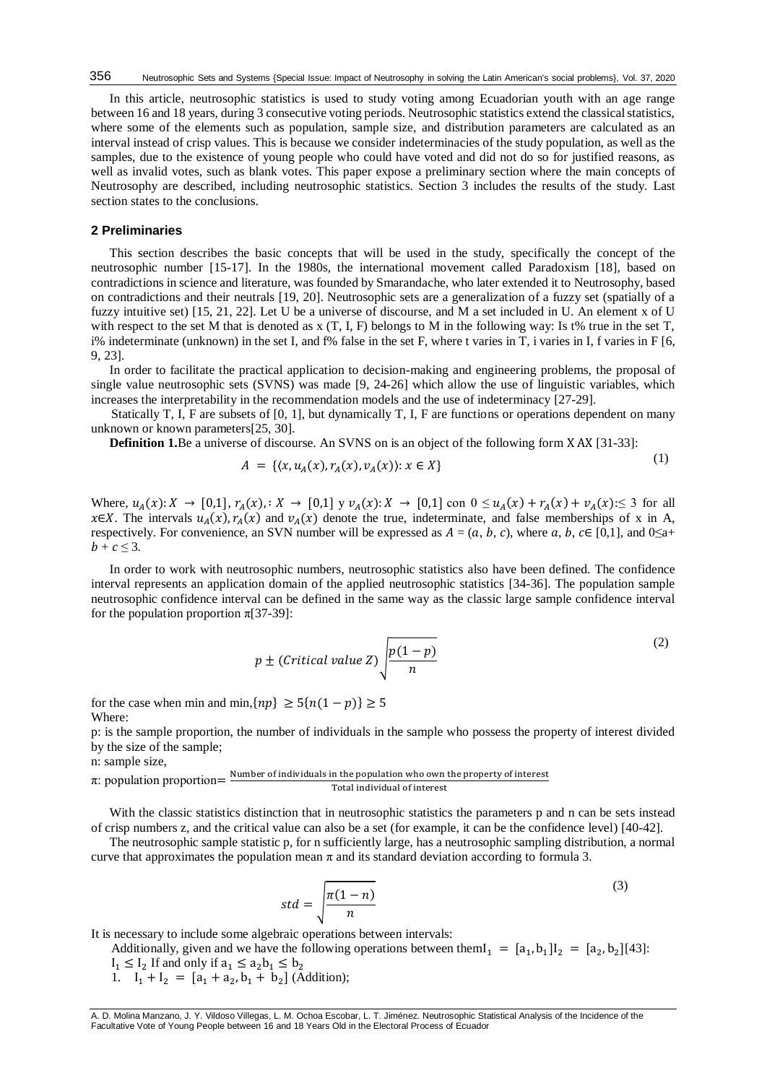In this article, neutrosophic statistics is used to study voting among Ecuadorian youth with an age range between 16 and 18 years, during 3 consecutive voting periods. Neutrosophic statistics extend the classical statistics, where some of the elements such as population, sample size, and distribution parameters are calculated as an interval instead of crisp values. This is because we consider indeterminacies of the study population, as well as the samples, due to the existence of young people who could have voted and did not do so for justified reasons, as well as invalid votes, such as blank votes. This paper expose a preliminary section where the main concepts of Neutrosophy are described, including neutrosophic statistics. Section 3 includes the results of the study. Last section states to the conclusions.

#### **2 Preliminaries**

This section describes the basic concepts that will be used in the study, specifically the concept of the neutrosophic number [\[15-17\]](#page-4-4). In the 1980s, the international movement called Paradoxism [\[18\]](#page-4-5), based on contradictions in science and literature, was founded by Smarandache, who later extended it to Neutrosophy, based on contradictions and their neutrals [\[19,](#page-4-6) [20\]](#page-4-7). Neutrosophic sets are a generalization of a fuzzy set (spatially of a fuzzy intuitive set) [\[15,](#page-4-4) [21,](#page-4-8) [22\]](#page-4-9). Let U be a universe of discourse, and M a set included in U. An element x of U with respect to the set M that is denoted as  $x(T, I, F)$  belongs to M in the following way: Is t% true in the set T, i% indeterminate (unknown) in the set I, and f% false in the set F, where t varies in T, i varies in I, f varies in F  $[6, 1]$  $[6, 1]$ [9,](#page-3-8) [23\]](#page-4-10).

In order to facilitate the practical application to decision-making and engineering problems, the proposal of single value neutrosophic sets (SVNS) was made [\[9,](#page-3-8) [24-26\]](#page-4-11) which allow the use of linguistic variables, which increases the interpretability in the recommendation models and the use of indeterminacy [\[27-29\]](#page-4-12).

Statically T, I, F are subsets of [0, 1], but dynamically T, I, F are functions or operations dependent on many unknown or known parameters[\[25,](#page-4-13) [30\]](#page-4-14).

**Definition 1.**Be a universe of discourse. An SVNS on is an object of the following form X AX [\[31-33\]](#page-4-15):

$$
A = \{ (x, u_A(x), r_A(x), v_A(x)) : x \in X \}
$$

 $(1)$ 

Where,  $u_A(x): X \to [0,1], r_A(x),: X \to [0,1]$  y  $v_A(x): X \to [0,1]$  con  $0 \le u_A(x) + r_A(x) + v_A(x) \le 3$  for all x∈X. The intervals  $u_A(x)$ ,  $r_A(x)$  and  $v_A(x)$  denote the true, indeterminate, and false memberships of x in A, respectively. For convenience, an SVN number will be expressed as  $A = (a, b, c)$ , where a, b,  $c \in [0,1]$ , and 0≤a+  $b + c \leq 3$ .

In order to work with neutrosophic numbers, neutrosophic statistics also have been defined. The confidence interval represents an application domain of the applied neutrosophic statistics [\[34-36\]](#page-4-16). The population sample neutrosophic confidence interval can be defined in the same way as the classic large sample confidence interval for the population proportion  $\pi$ [\[37-39\]](#page-5-0):

$$
p \pm (Critical \ value \ Z) \sqrt{\frac{p(1-p)}{n}}
$$
 (2)

for the case when min and min, $\{np\} \ge 5\{n(1-p)\} \ge 5$ Where:

p: is the sample proportion, the number of individuals in the sample who possess the property of interest divided by the size of the sample; n: sample size,

#### $\pi$ : population proportion  $=\frac{\text{Number of individuals in the population who own the property of interest}}{\text{Total individual of interest}}$ Total individual of interest

With the classic statistics distinction that in neutrosophic statistics the parameters p and n can be sets instead of crisp numbers z, and the critical value can also be a set (for example, it can be the confidence level) [\[40-42\]](#page-5-1).

The neutrosophic sample statistic p, for n sufficiently large, has a neutrosophic sampling distribution, a normal curve that approximates the population mean  $\pi$  and its standard deviation according to formula 3.

$$
std = \sqrt{\frac{\pi(1-n)}{n}}\tag{3}
$$

It is necessary to include some algebraic operations between intervals:

Additionally, given and we have the following operations between them $I_1 = [a_1, b_1]I_2 = [a_2, b_2][43]$  $I_1 = [a_1, b_1]I_2 = [a_2, b_2][43]$ :  $I_1 \leq I_2$  If and only if  $a_1 \leq a_2 b_1 \leq b_2$ 

1.  $I_1 + I_2 = [a_1 + a_2, b_1 + b_2]$  (Addition);

A. D. Molina Manzano, J. Y. Vildoso Villegas, L. M. Ochoa Escobar, L. T. Jiménez. Neutrosophic Statistical Analysis of the Incidence of the Facultative Vote of Young People between 16 and 18 Years Old in the Electoral Process of Ecuador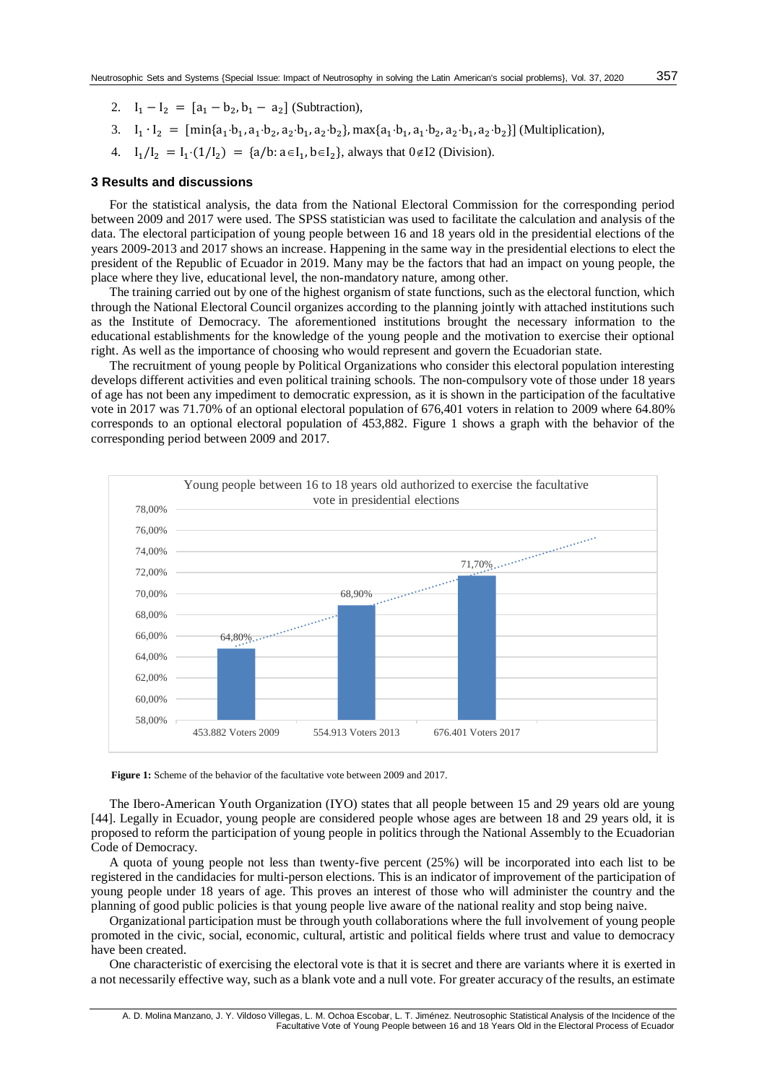- 2.  $I_1 I_2 = [a_1 b_2, b_1 a_2]$  (Subtraction),
- 3.  $I_1 \cdot I_2 = [\min\{a_1 \cdot b_1, a_1 \cdot b_2, a_2 \cdot b_1, a_2 \cdot b_2\}, \max\{a_1 \cdot b_1, a_1 \cdot b_2, a_2 \cdot b_1, a_2 \cdot b_2\}]$  (Multiplication),
- 4.  $I_1/I_2 = I_1 \cdot (1/I_2) = \{a/b : a \in I_1, b \in I_2\}$ , always that  $0 \notin I_2$  (Division).

#### **3 Results and discussions**

For the statistical analysis, the data from the National Electoral Commission for the corresponding period between 2009 and 2017 were used. The SPSS statistician was used to facilitate the calculation and analysis of the data. The electoral participation of young people between 16 and 18 years old in the presidential elections of the years 2009-2013 and 2017 shows an increase. Happening in the same way in the presidential elections to elect the president of the Republic of Ecuador in 2019. Many may be the factors that had an impact on young people, the place where they live, educational level, the non-mandatory nature, among other.

The training carried out by one of the highest organism of state functions, such as the electoral function, which through the National Electoral Council organizes according to the planning jointly with attached institutions such as the Institute of Democracy. The aforementioned institutions brought the necessary information to the educational establishments for the knowledge of the young people and the motivation to exercise their optional right. As well as the importance of choosing who would represent and govern the Ecuadorian state.

The recruitment of young people by Political Organizations who consider this electoral population interesting develops different activities and even political training schools. The non-compulsory vote of those under 18 years of age has not been any impediment to democratic expression, as it is shown in the participation of the facultative vote in 2017 was 71.70% of an optional electoral population of 676,401 voters in relation to 2009 where 64.80% corresponds to an optional electoral population of 453,882. Figure 1 shows a graph with the behavior of the corresponding period between 2009 and 2017.



**Figure 1:** Scheme of the behavior of the facultative vote between 2009 and 2017.

The Ibero-American Youth Organization (IYO) states that all people between 15 and 29 years old are young [\[44\]](#page-5-3). Legally in Ecuador, young people are considered people whose ages are between 18 and 29 years old, it is proposed to reform the participation of young people in politics through the National Assembly to the Ecuadorian Code of Democracy.

A quota of young people not less than twenty-five percent (25%) will be incorporated into each list to be registered in the candidacies for multi-person elections. This is an indicator of improvement of the participation of young people under 18 years of age. This proves an interest of those who will administer the country and the planning of good public policies is that young people live aware of the national reality and stop being naive.

Organizational participation must be through youth collaborations where the full involvement of young people promoted in the civic, social, economic, cultural, artistic and political fields where trust and value to democracy have been created.

One characteristic of exercising the electoral vote is that it is secret and there are variants where it is exerted in a not necessarily effective way, such as a blank vote and a null vote. For greater accuracy of the results, an estimate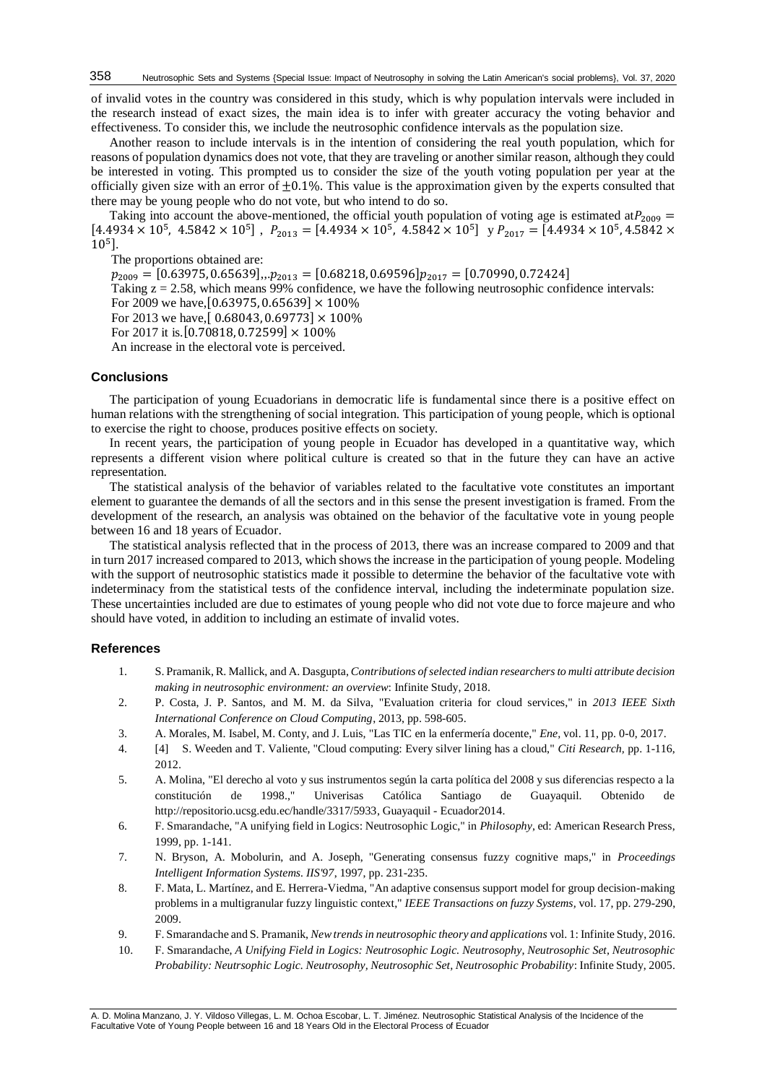of invalid votes in the country was considered in this study, which is why population intervals were included in the research instead of exact sizes, the main idea is to infer with greater accuracy the voting behavior and effectiveness. To consider this, we include the neutrosophic confidence intervals as the population size.

Another reason to include intervals is in the intention of considering the real youth population, which for reasons of population dynamics does not vote, thatthey are traveling or another similar reason, although they could be interested in voting. This prompted us to consider the size of the youth voting population per year at the officially given size with an error of  $\pm 0.1$ %. This value is the approximation given by the experts consulted that there may be young people who do not vote, but who intend to do so.

Taking into account the above-mentioned, the official youth population of voting age is estimated at  $P_{2009}$  =  $[4.4934 \times 10^5, 4.5842 \times 10^5]$ ,  $P_{2013} = [4.4934 \times 10^5, 4.5842 \times 10^5]$  y  $P_{2017} = [4.4934 \times 10^5, 4.5842 \times 10^5]$ 10<sup>5</sup>].

The proportions obtained are:

 $p_{2009} = [0.63975, 0.65639], p_{2013} = [0.68218, 0.69596] p_{2017} = [0.70990, 0.72424]$ 

Taking z = 2.58, which means 99% confidence, we have the following neutrosophic confidence intervals: For 2009 we have, [0.63975, 0.65639]  $\times$  100%

For 2013 we have,  $[0.68043, 0.69773] \times 100\%$ 

For 2017 it is. [0.70818, 0.72599]  $\times$  100%

An increase in the electoral vote is perceived.

#### **Conclusions**

The participation of young Ecuadorians in democratic life is fundamental since there is a positive effect on human relations with the strengthening of social integration. This participation of young people, which is optional to exercise the right to choose, produces positive effects on society.

In recent years, the participation of young people in Ecuador has developed in a quantitative way, which represents a different vision where political culture is created so that in the future they can have an active representation.

The statistical analysis of the behavior of variables related to the facultative vote constitutes an important element to guarantee the demands of all the sectors and in this sense the present investigation is framed. From the development of the research, an analysis was obtained on the behavior of the facultative vote in young people between 16 and 18 years of Ecuador.

The statistical analysis reflected that in the process of 2013, there was an increase compared to 2009 and that in turn 2017 increased compared to 2013, which shows the increase in the participation of young people. Modeling with the support of neutrosophic statistics made it possible to determine the behavior of the facultative vote with indeterminacy from the statistical tests of the confidence interval, including the indeterminate population size. These uncertainties included are due to estimates of young people who did not vote due to force majeure and who should have voted, in addition to including an estimate of invalid votes.

## **References**

- <span id="page-3-0"></span>1. S. Pramanik, R. Mallick, and A. Dasgupta, *Contributions of selected indian researchers to multi attribute decision making in neutrosophic environment: an overview*: Infinite Study, 2018.
- <span id="page-3-1"></span>2. P. Costa, J. P. Santos, and M. M. da Silva, "Evaluation criteria for cloud services," in *2013 IEEE Sixth International Conference on Cloud Computing*, 2013, pp. 598-605.
- <span id="page-3-2"></span>3. A. Morales, M. Isabel, M. Conty, and J. Luis, "Las TIC en la enfermería docente," *Ene,* vol. 11, pp. 0-0, 2017.
- <span id="page-3-3"></span>4. [4] S. Weeden and T. Valiente, "Cloud computing: Every silver lining has a cloud," *Citi Research,* pp. 1-116, 2012.
- <span id="page-3-4"></span>5. A. Molina, "El derecho al voto y sus instrumentos según la carta política del 2008 y sus diferencias respecto a la constitución de 1998.," Univerisas Católica Santiago de Guayaquil. Obtenido de http://repositorio.ucsg.edu.ec/handle/3317/5933, Guayaquil - Ecuador2014.
- <span id="page-3-5"></span>6. F. Smarandache, "A unifying field in Logics: Neutrosophic Logic," in *Philosophy*, ed: American Research Press, 1999, pp. 1-141.
- <span id="page-3-6"></span>7. N. Bryson, A. Mobolurin, and A. Joseph, "Generating consensus fuzzy cognitive maps," in *Proceedings Intelligent Information Systems. IIS'97*, 1997, pp. 231-235.
- <span id="page-3-7"></span>8. F. Mata, L. Martínez, and E. Herrera-Viedma, "An adaptive consensus support model for group decision-making problems in a multigranular fuzzy linguistic context," *IEEE Transactions on fuzzy Systems,* vol. 17, pp. 279-290, 2009.
- <span id="page-3-8"></span>9. F. Smarandache and S. Pramanik, *New trends in neutrosophic theory and applications* vol. 1: Infinite Study, 2016.
- <span id="page-3-9"></span>10. F. Smarandache, *A Unifying Field in Logics: Neutrosophic Logic. Neutrosophy, Neutrosophic Set, Neutrosophic Probability: Neutrsophic Logic. Neutrosophy, Neutrosophic Set, Neutrosophic Probability*: Infinite Study, 2005.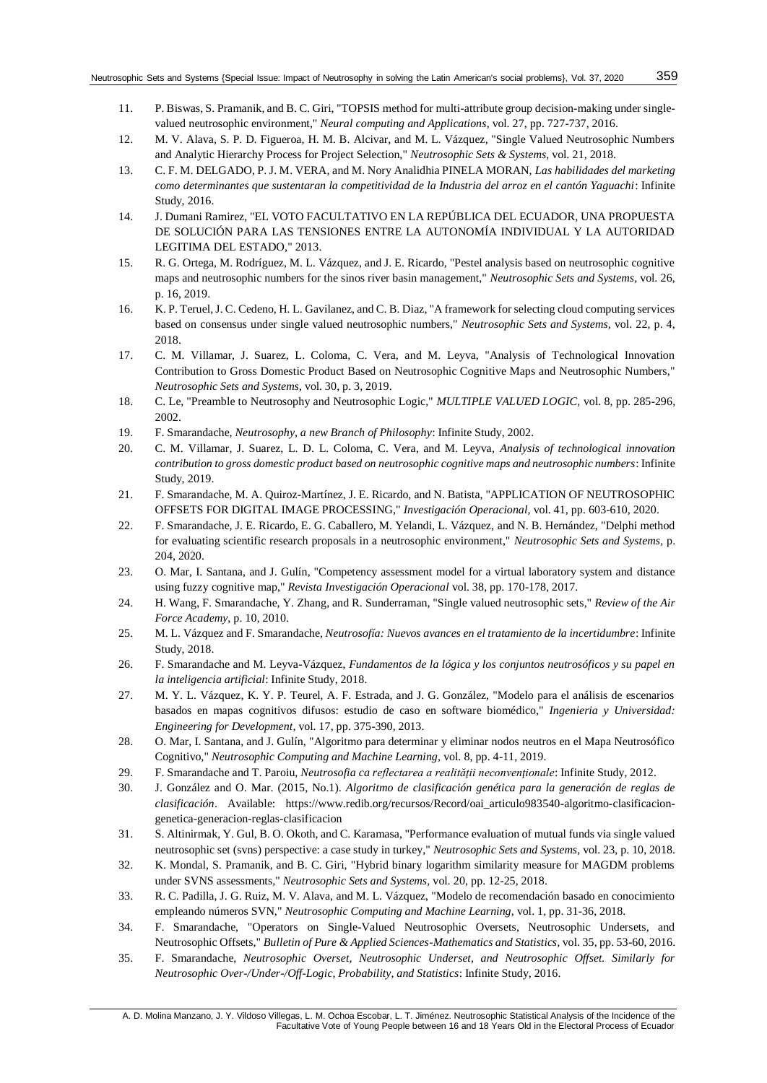- <span id="page-4-0"></span>11. P. Biswas, S. Pramanik, and B. C. Giri, "TOPSIS method for multi-attribute group decision-making under singlevalued neutrosophic environment," *Neural computing and Applications,* vol. 27, pp. 727-737, 2016.
- <span id="page-4-1"></span>12. M. V. Alava, S. P. D. Figueroa, H. M. B. Alcivar, and M. L. Vázquez, "Single Valued Neutrosophic Numbers and Analytic Hierarchy Process for Project Selection," *Neutrosophic Sets & Systems,* vol. 21, 2018.
- <span id="page-4-2"></span>13. C. F. M. DELGADO, P. J. M. VERA, and M. Nory Analidhia PINELA MORAN, *Las habilidades del marketing como determinantes que sustentaran la competitividad de la Industria del arroz en el cantón Yaguachi*: Infinite Study, 2016.
- <span id="page-4-3"></span>14. J. Dumani Ramirez, "EL VOTO FACULTATIVO EN LA REPÚBLICA DEL ECUADOR, UNA PROPUESTA DE SOLUCIÓN PARA LAS TENSIONES ENTRE LA AUTONOMÍA INDIVIDUAL Y LA AUTORIDAD LEGITIMA DEL ESTADO," 2013.
- <span id="page-4-4"></span>15. R. G. Ortega, M. Rodríguez, M. L. Vázquez, and J. E. Ricardo, "Pestel analysis based on neutrosophic cognitive maps and neutrosophic numbers for the sinos river basin management," *Neutrosophic Sets and Systems,* vol. 26, p. 16, 2019.
- 16. K. P. Teruel, J. C. Cedeno, H. L. Gavilanez, and C. B. Diaz, "A framework for selecting cloud computing services based on consensus under single valued neutrosophic numbers," *Neutrosophic Sets and Systems,* vol. 22, p. 4, 2018.
- 17. C. M. Villamar, J. Suarez, L. Coloma, C. Vera, and M. Leyva, "Analysis of Technological Innovation Contribution to Gross Domestic Product Based on Neutrosophic Cognitive Maps and Neutrosophic Numbers," *Neutrosophic Sets and Systems,* vol. 30, p. 3, 2019.
- <span id="page-4-5"></span>18. C. Le, "Preamble to Neutrosophy and Neutrosophic Logic," *MULTIPLE VALUED LOGIC,* vol. 8, pp. 285-296, 2002.
- <span id="page-4-6"></span>19. F. Smarandache, *Neutrosophy, a new Branch of Philosophy*: Infinite Study, 2002.
- <span id="page-4-7"></span>20. C. M. Villamar, J. Suarez, L. D. L. Coloma, C. Vera, and M. Leyva, *Analysis of technological innovation contribution to gross domestic product based on neutrosophic cognitive maps and neutrosophic numbers*: Infinite Study, 2019.
- <span id="page-4-8"></span>21. F. Smarandache, M. A. Quiroz-Martínez, J. E. Ricardo, and N. Batista, "APPLICATION OF NEUTROSOPHIC OFFSETS FOR DIGITAL IMAGE PROCESSING," *Investigación Operacional,* vol. 41, pp. 603-610, 2020.
- <span id="page-4-9"></span>22. F. Smarandache, J. E. Ricardo, E. G. Caballero, M. Yelandi, L. Vázquez, and N. B. Hernández, "Delphi method for evaluating scientific research proposals in a neutrosophic environment," *Neutrosophic Sets and Systems,* p. 204, 2020.
- <span id="page-4-10"></span>23. O. Mar, I. Santana, and J. Gulín, "Competency assessment model for a virtual laboratory system and distance using fuzzy cognitive map," *Revista Investigación Operacional* vol. 38, pp. 170-178, 2017.
- <span id="page-4-11"></span>24. H. Wang, F. Smarandache, Y. Zhang, and R. Sunderraman, "Single valued neutrosophic sets," *Review of the Air Force Academy,* p. 10, 2010.
- <span id="page-4-13"></span>25. M. L. Vázquez and F. Smarandache, *Neutrosofía: Nuevos avances en el tratamiento de la incertidumbre*: Infinite Study, 2018.
- 26. F. Smarandache and M. Leyva-Vázquez, *Fundamentos de la lógica y los conjuntos neutrosóficos y su papel en la inteligencia artificial*: Infinite Study, 2018.
- <span id="page-4-12"></span>27. M. Y. L. Vázquez, K. Y. P. Teurel, A. F. Estrada, and J. G. González, "Modelo para el análisis de escenarios basados en mapas cognitivos difusos: estudio de caso en software biomédico," *Ingenieria y Universidad: Engineering for Development,* vol. 17, pp. 375-390, 2013.
- 28. O. Mar, I. Santana, and J. Gulín, "Algoritmo para determinar y eliminar nodos neutros en el Mapa Neutrosófico Cognitivo," *Neutrosophic Computing and Machine Learning,* vol. 8, pp. 4-11, 2019.
- 29. F. Smarandache and T. Paroiu, *Neutrosofia ca reflectarea a realităţii neconvenţionale*: Infinite Study, 2012.
- <span id="page-4-14"></span>30. J. González and O. Mar. (2015, No.1). *Algoritmo de clasificación genética para la generación de reglas de clasificación*. Available: https://www.redib.org/recursos/Record/oai\_articulo983540-algoritmo-clasificaciongenetica-generacion-reglas-clasificacion
- <span id="page-4-15"></span>31. S. Altinirmak, Y. Gul, B. O. Okoth, and C. Karamasa, "Performance evaluation of mutual funds via single valued neutrosophic set (svns) perspective: a case study in turkey," *Neutrosophic Sets and Systems,* vol. 23, p. 10, 2018.
- 32. K. Mondal, S. Pramanik, and B. C. Giri, "Hybrid binary logarithm similarity measure for MAGDM problems under SVNS assessments," *Neutrosophic Sets and Systems,* vol. 20, pp. 12-25, 2018.
- 33. R. C. Padilla, J. G. Ruiz, M. V. Alava, and M. L. Vázquez, "Modelo de recomendación basado en conocimiento empleando números SVN," *Neutrosophic Computing and Machine Learning,* vol. 1, pp. 31-36, 2018.
- <span id="page-4-16"></span>34. F. Smarandache, "Operators on Single-Valued Neutrosophic Oversets, Neutrosophic Undersets, and Neutrosophic Offsets," *Bulletin of Pure & Applied Sciences-Mathematics and Statistics,* vol. 35, pp. 53-60, 2016.
- 35. F. Smarandache, *Neutrosophic Overset, Neutrosophic Underset, and Neutrosophic Offset. Similarly for Neutrosophic Over-/Under-/Off-Logic, Probability, and Statistics*: Infinite Study, 2016.